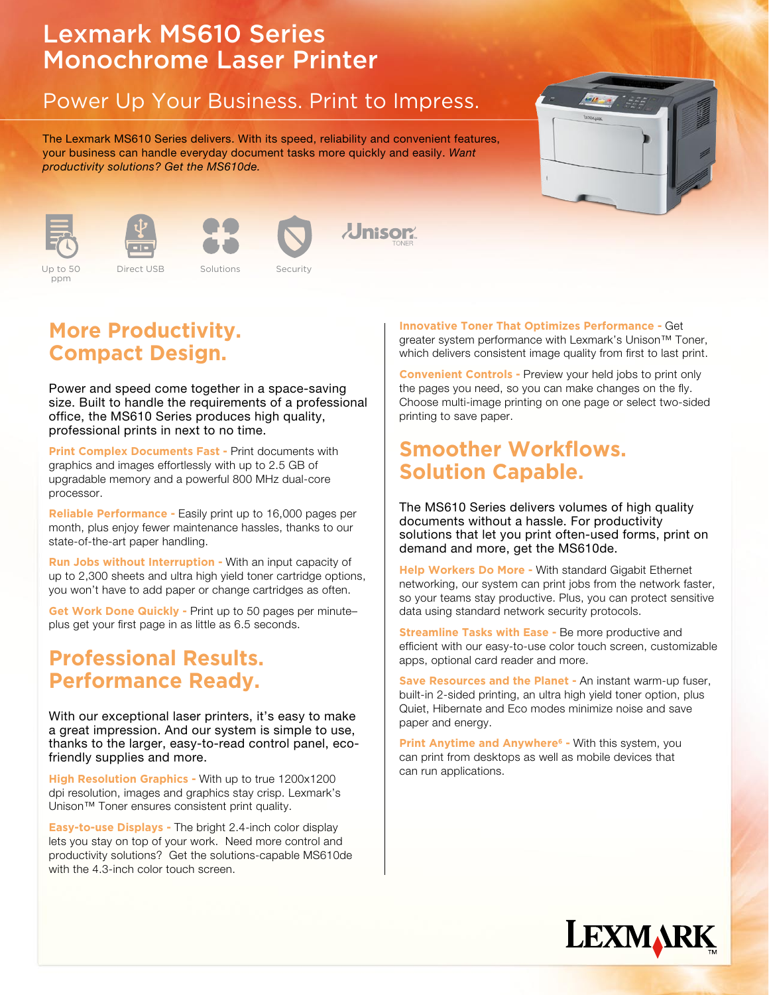# Lexmark MS610 Series Monochrome Laser Printer

## Power Up Your Business. Print to Impress.

The Lexmark MS610 Series delivers. With its speed, reliability and convenient features, your business can handle everyday document tasks more quickly and easily. Want productivity solutions? Get the MS610de.





Up to 50 ppm







**J**nisor

**Color 2.4 Up to 50 Color 2.4 Direct USB** Solutions Security Up to 50 Direct USB Solutions Security

### **More Productivity. Compact Design.**

Power and speed come together in a space-saving size. Built to handle the requirements of a professional office, the MS610 Series produces high quality, professional prints in next to no time.

**Print Complex Documents Fast - Print documents with** graphics and images effortlessly with up to 2.5 GB of upgradable memory and a powerful 800 MHz dual-core processor.

**Reliable Performance -** Easily print up to 16,000 pages per month, plus enjoy fewer maintenance hassles, thanks to our state-of-the-art paper handling.

**Run Jobs without Interruption -** With an input capacity of up to 2,300 sheets and ultra high yield toner cartridge options, you won't have to add paper or change cartridges as often.

**Get Work Done Quickly -** Print up to 50 pages per minute– plus get your first page in as little as 6.5 seconds.

### **Professional Results. Performance Ready.**

With our exceptional laser printers, it's easy to make a great impression. And our system is simple to use, thanks to the larger, easy-to-read control panel, ecofriendly supplies and more.

**High Resolution Graphics -** With up to true 1200x1200 dpi resolution, images and graphics stay crisp. Lexmark's Unison™ Toner ensures consistent print quality.

**Easy-to-use Displays -** The bright 2.4-inch color display lets you stay on top of your work. Need more control and productivity solutions? Get the solutions-capable MS610de with the 4.3-inch color touch screen.

**Innovative Toner That Optimizes Performance -** Get greater system performance with Lexmark's Unison™ Toner, which delivers consistent image quality from first to last print.

**Convenient Controls -** Preview your held jobs to print only the pages you need, so you can make changes on the fly. Choose multi-image printing on one page or select two-sided printing to save paper.

#### **Smoother Workflows. Solution Capable.**

The MS610 Series delivers volumes of high quality documents without a hassle. For productivity solutions that let you print often-used forms, print on demand and more, get the MS610de.

**Help Workers Do More -** With standard Gigabit Ethernet networking, our system can print jobs from the network faster, so your teams stay productive. Plus, you can protect sensitive data using standard network security protocols.

**Streamline Tasks with Ease - Be more productive and** efficient with our easy-to-use color touch screen, customizable apps, optional card reader and more.

**Save Resources and the Planet -** An instant warm-up fuser, built-in 2-sided printing, an ultra high yield toner option, plus Quiet, Hibernate and Eco modes minimize noise and save paper and energy.

**Print Anytime and Anywhere<sup>6</sup> - With this system, you** can print from desktops as well as mobile devices that can run applications.